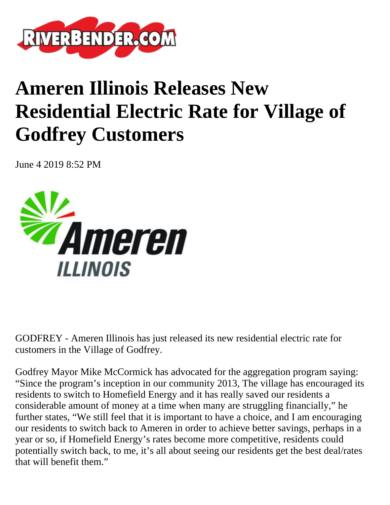

## **Ameren Illinois Releases New Residential Electric Rate for Village of Godfrey Customers**

June 4 2019 8:52 PM



GODFREY - Ameren Illinois has just released its new residential electric rate for customers in the Village of Godfrey.

Godfrey Mayor Mike McCormick has advocated for the aggregation program saying: "Since the program's inception in our community 2013, The village has encouraged its residents to switch to Homefield Energy and it has really saved our residents a considerable amount of money at a time when many are struggling financially," he further states, "We still feel that it is important to have a choice, and I am encouraging our residents to switch back to Ameren in order to achieve better savings, perhaps in a year or so, if Homefield Energy's rates become more competitive, residents could potentially switch back, to me, it's all about seeing our residents get the best deal/rates that will benefit them."